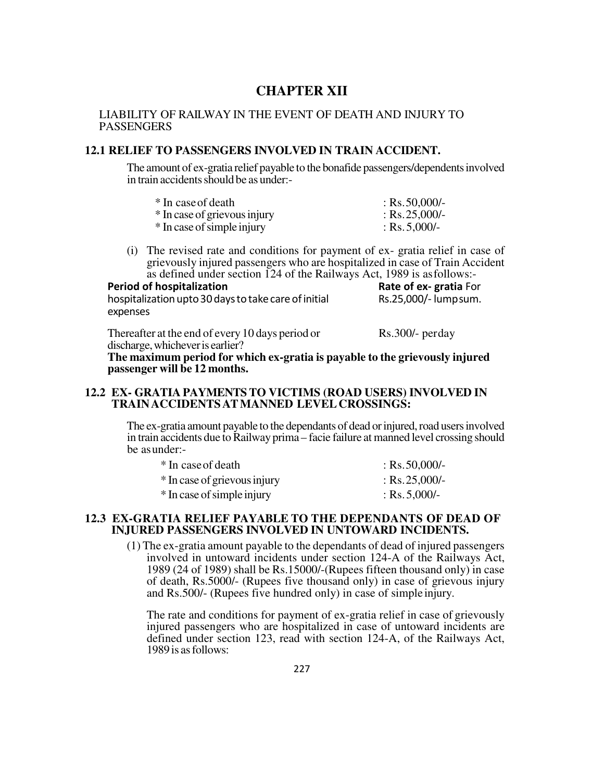# **CHAPTER XII**

#### LIABILITY OF RAILWAY IN THE EVENT OF DEATH AND INJURY TO **PASSENGERS**

#### **12.1 RELIEF TO PASSENGERS INVOLVED IN TRAIN ACCIDENT.**

The amount of ex-gratia relief payable to the bonafide passengers/dependents involved in train accidents should be as under:-

| * In case of death           | : $Rs.50,000/-$  |
|------------------------------|------------------|
| * In case of grievous injury | : Rs. $25,000/-$ |
| * In case of simple injury   | : Rs. $5,000/-$  |

(i) The revised rate and conditions for payment of ex- gratia relief in case of grievously injured passengers who are hospitalized in case of Train Accident as defined under section 124 of the Railways Act, 1989 is as follows:-

**Period of hospitalization**<br>hospitalization upto 30 days to take care of initial **Rate of ex- gratia** For<br>Rs.25,000/- lumpsum. hospitalization upto 30 days to take care of initial expenses

Thereafter at the end of every 10 days period or Rs.300/- perday discharge, whichever is earlier?

**The maximum period for which ex-gratia is payable to the grievously injured passenger will be 12 months.** 

# **12.2 EX- GRATIA PAYMENTS TO VICTIMS (ROAD USERS) INVOLVED IN TRAIN ACCIDENTS AT MANNED LEVEL CROSSINGS:**

The ex-gratia amount payable to the dependants of dead or injured, road users involved in train accidents due to Railway prima – facie failure at manned level crossing should be as under:-

| * In case of death           | : $Rs.50,000/-$ |
|------------------------------|-----------------|
| * In case of grievous injury | : $Rs.25,000/-$ |
| * In case of simple injury   | : Rs. $5,000/-$ |

#### **12.3 EX-GRATIA RELIEF PAYABLE TO THE DEPENDANTS OF DEAD OF INJURED PASSENGERS INVOLVED IN UNTOWARD INCIDENTS.**

(1) The ex-gratia amount payable to the dependants of dead of injured passengers involved in untoward incidents under section 124-A of the Railways Act, 1989 (24 of 1989) shall be Rs.15000/-(Rupees fifteen thousand only) in case of death, Rs.5000/- (Rupees five thousand only) in case of grievous injury and Rs.500/- (Rupees five hundred only) in case of simple injury.

The rate and conditions for payment of ex-gratia relief in case of grievously injured passengers who are hospitalized in case of untoward incidents are defined under section 123, read with section 124-A, of the Railways Act, 1989 is as follows: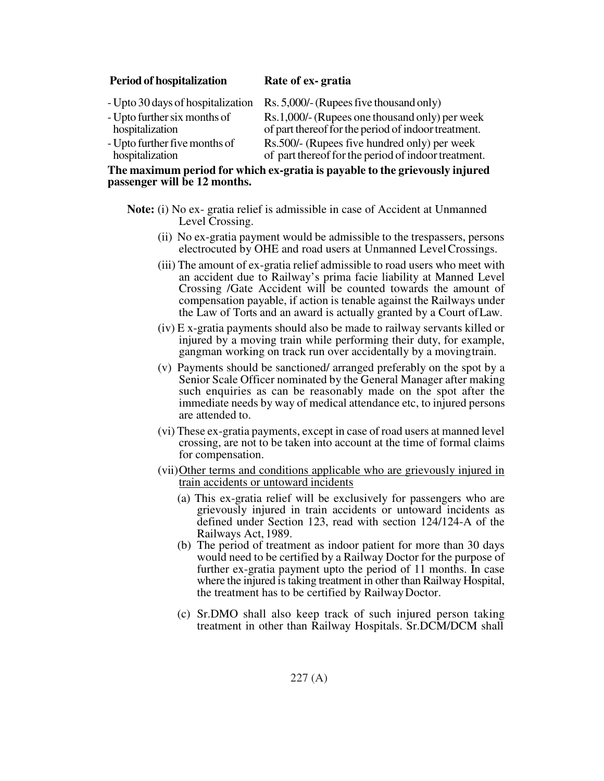# **Period of hospitalization Rate of ex- gratia**

|                               | - Upto 30 days of hospitalization Rs. 5,000/- (Rupees five thousand only) |
|-------------------------------|---------------------------------------------------------------------------|
| - Upto further six months of  | Rs.1,000/- (Rupees one thousand only) per week                            |
| hospitalization               | of part thereof for the period of indoor treatment.                       |
| - Upto further five months of | Rs. 500/- (Rupees five hundred only) per week                             |
| hospitalization               | of part thereof for the period of indoor treatment.                       |
|                               | $\mathbf{r}$ . The set of the set of $\mathbf{r}$                         |

**The maximum period for which ex-gratia is payable to the grievously injured passenger will be 12 months.** 

**Note:** (i) No ex- gratia relief is admissible in case of Accident at Unmanned Level Crossing.

- (ii) No ex-gratia payment would be admissible to the trespassers, persons electrocuted by OHE and road users at Unmanned Level Crossings.
- (iii) The amount of ex-gratia relief admissible to road users who meet with an accident due to Railway's prima facie liability at Manned Level Crossing /Gate Accident will be counted towards the amount of compensation payable, if action is tenable against the Railways under the Law of Torts and an award is actually granted by a Court of Law.
- (iv) E x-gratia payments should also be made to railway servants killed or injured by a moving train while performing their duty, for example, gangman working on track run over accidentally by a moving train.
- (v) Payments should be sanctioned/ arranged preferably on the spot by a Senior Scale Officer nominated by the General Manager after making such enquiries as can be reasonably made on the spot after the immediate needs by way of medical attendance etc, to injured persons are attended to.
- (vi) These ex-gratia payments, except in case of road users at manned level crossing, are not to be taken into account at the time of formal claims for compensation.
- (vii)Other terms and conditions applicable who are grievously injured in train accidents or untoward incidents
	- (a) This ex-gratia relief will be exclusively for passengers who are grievously injured in train accidents or untoward incidents as defined under Section 123, read with section 124/124-A of the Railways Act, 1989.
	- (b) The period of treatment as indoor patient for more than 30 days would need to be certified by a Railway Doctor for the purpose of further ex-gratia payment upto the period of 11 months. In case where the injured is taking treatment in other than Railway Hospital, the treatment has to be certified by Railway Doctor.
	- (c) Sr.DMO shall also keep track of such injured person taking treatment in other than Railway Hospitals. Sr.DCM/DCM shall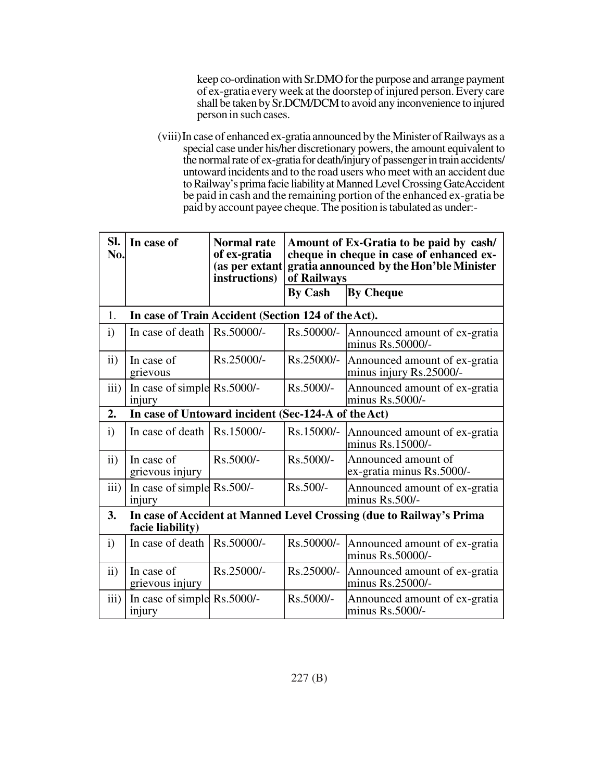keep co-ordination with Sr.DMO for the purpose and arrange payment of ex-gratia every week at the doorstep of injured person. Every care shall be taken by Sr.DCM/DCM to avoid any inconvenience to injured person in such cases.

(viii)In case of enhanced ex-gratia announced by the Minister of Railways as a special case under his/her discretionary powers, the amount equivalent to the normal rate of ex-gratia for death/injury of passenger in train accidents/ untoward incidents and to the road users who meet with an accident due to Railway's prima facie liability at Manned Level Crossing GateAccident be paid in cash and the remaining portion of the enhanced ex-gratia be paid by account payee cheque. The position is tabulated as under:-

| SI.<br>No.       | In case of                                                                               | <b>Normal rate</b><br>of ex-gratia<br>(as per extant<br>instructions) | Amount of Ex-Gratia to be paid by cash/<br>cheque in cheque in case of enhanced ex-<br>gratia announced by the Hon'ble Minister<br>of Railways |                                                          |  |  |  |
|------------------|------------------------------------------------------------------------------------------|-----------------------------------------------------------------------|------------------------------------------------------------------------------------------------------------------------------------------------|----------------------------------------------------------|--|--|--|
|                  |                                                                                          |                                                                       | <b>By Cash</b>                                                                                                                                 | <b>By Cheque</b>                                         |  |  |  |
| 1.               | In case of Train Accident (Section 124 of the Act).                                      |                                                                       |                                                                                                                                                |                                                          |  |  |  |
| $\mathbf{i}$     | In case of death                                                                         | Rs.50000/-                                                            | Rs.50000/-                                                                                                                                     | Announced amount of ex-gratia<br>minus Rs.50000/-        |  |  |  |
| $\mathbf{ii}$    | In case of<br>grievous                                                                   | Rs.25000/-                                                            | Rs.25000/-                                                                                                                                     | Announced amount of ex-gratia<br>minus injury Rs.25000/- |  |  |  |
| $\overline{iii}$ | In case of simple Rs.5000/-<br>injury                                                    |                                                                       | Rs.5000/-                                                                                                                                      | Announced amount of ex-gratia<br>minus Rs.5000/-         |  |  |  |
| 2.               | In case of Untoward incident (Sec-124-A of the Act)                                      |                                                                       |                                                                                                                                                |                                                          |  |  |  |
| $\mathbf{i}$     | In case of death                                                                         | Rs.15000/-                                                            | Rs.15000/-                                                                                                                                     | Announced amount of ex-gratia<br>minus Rs.15000/-        |  |  |  |
| $\mathbf{ii}$    | In case of<br>grievous injury                                                            | Rs.5000/-                                                             | Rs.5000/-                                                                                                                                      | Announced amount of<br>ex-gratia minus Rs.5000/-         |  |  |  |
| iii)             | In case of simple Rs.500/-<br>injury                                                     |                                                                       | Rs.500/-                                                                                                                                       | Announced amount of ex-gratia<br>minus Rs.500/-          |  |  |  |
| 3.               | In case of Accident at Manned Level Crossing (due to Railway's Prima<br>facie liability) |                                                                       |                                                                                                                                                |                                                          |  |  |  |
| $\mathbf{i}$     | In case of death                                                                         | Rs.50000/-                                                            | Rs.50000/-                                                                                                                                     | Announced amount of ex-gratia<br>minus Rs.50000/-        |  |  |  |
| $\mathbf{ii}$    | In case of<br>grievous injury                                                            | Rs.25000/-                                                            | Rs.25000/-                                                                                                                                     | Announced amount of ex-gratia<br>minus Rs.25000/-        |  |  |  |
| iii)             | In case of simple Rs.5000/-<br>injury                                                    |                                                                       | Rs.5000/-                                                                                                                                      | Announced amount of ex-gratia<br>minus Rs.5000/-         |  |  |  |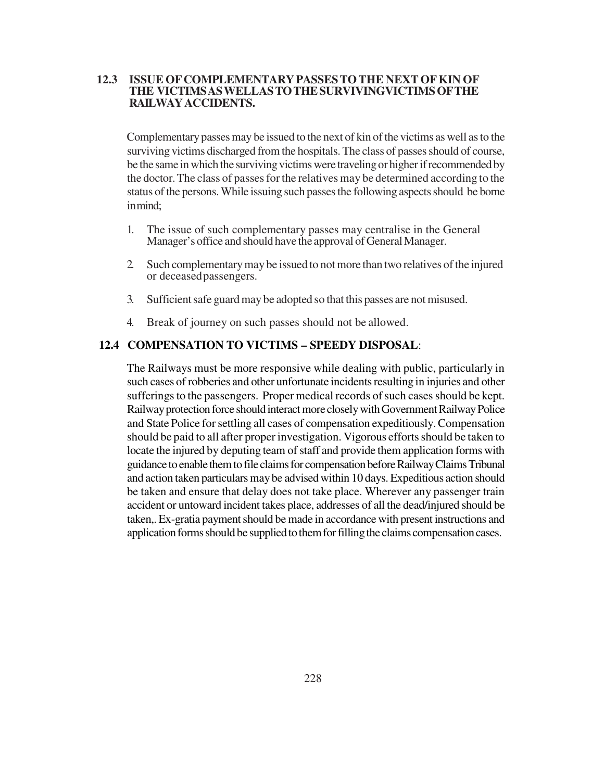## **12.3 ISSUE OF COMPLEMENTARY PASSES TO THE NEXT OF KIN OF THE VICTIMS AS WELLAS TO THE SURVIVINGVICTIMS OF THE RAILWAY ACCIDENTS.**

Complementary passes may be issued to the next of kin of the victims as well as to the surviving victims discharged from the hospitals. The class of passes should of course, be the same in which the surviving victims were traveling or higher if recommended by the doctor. The class of passes for the relatives may be determined according to the status of the persons. While issuing such passes the following aspects should be borne in mind;

- 1. The issue of such complementary passes may centralise in the General Manager's office and should have the approval of General Manager.
- 2. Such complementary may be issued to not more than two relatives of the injured or deceased passengers.
- 3. Sufficient safe guard may be adopted so that this passes are not misused.
- 4. Break of journey on such passes should not be allowed.

## **12.4 COMPENSATION TO VICTIMS – SPEEDY DISPOSAL**:

The Railways must be more responsive while dealing with public, particularly in such cases of robberies and other unfortunate incidents resulting in injuries and other sufferings to the passengers. Proper medical records of such cases should be kept. Railway protection force should interact more closely with Government Railway Police and State Police for settling all cases of compensation expeditiously. Compensation should be paid to all after proper investigation. Vigorous efforts should be taken to locate the injured by deputing team of staff and provide them application forms with guidance to enable them to file claims for compensation before Railway Claims Tribunal and action taken particulars may be advised within 10 days. Expeditious action should be taken and ensure that delay does not take place. Wherever any passenger train accident or untoward incident takes place, addresses of all the dead/injured should be taken,. Ex-gratia payment should be made in accordance with present instructions and application forms should be supplied to them for filling the claims compensation cases.